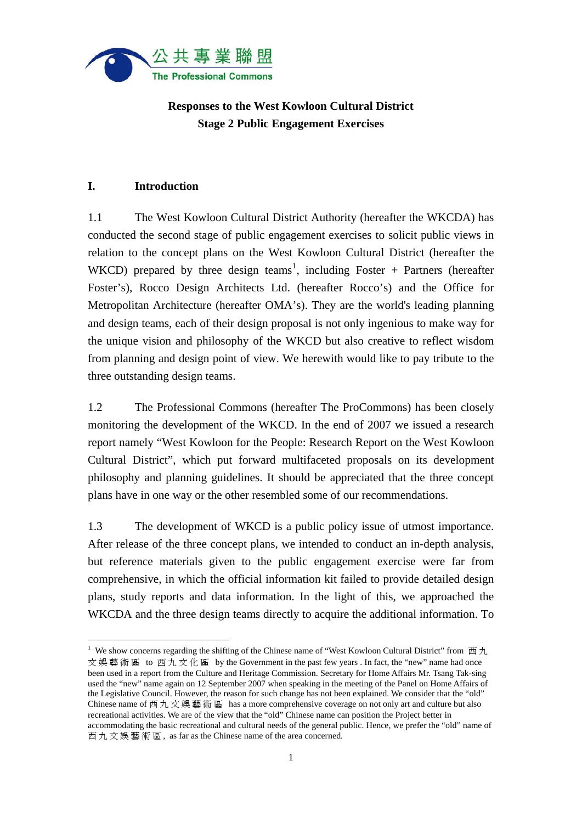

# **Responses to the West Kowloon Cultural District Stage 2 Public Engagement Exercises**

## **I. Introduction**

 $\overline{a}$ 

1.1 The West Kowloon Cultural District Authority (hereafter the WKCDA) has conducted the second stage of public engagement exercises to solicit public views in relation to the concept plans on the West Kowloon Cultural District (hereafter the WKCD) prepared by three design teams<sup>1</sup>, including Foster + Partners (hereafter Foster's), Rocco Design Architects Ltd. (hereafter Rocco's) and the Office for Metropolitan Architecture (hereafter OMA's). They are the world's leading planning and design teams, each of their design proposal is not only ingenious to make way for the unique vision and philosophy of the WKCD but also creative to reflect wisdom from planning and design point of view. We herewith would like to pay tribute to the three outstanding design teams.

1.2 The Professional Commons (hereafter The ProCommons) has been closely monitoring the development of the WKCD. In the end of 2007 we issued a research report namely "West Kowloon for the People: Research Report on the West Kowloon Cultural District", which put forward multifaceted proposals on its development philosophy and planning guidelines. It should be appreciated that the three concept plans have in one way or the other resembled some of our recommendations.

1.3 The development of WKCD is a public policy issue of utmost importance. After release of the three concept plans, we intended to conduct an in-depth analysis, but reference materials given to the public engagement exercise were far from comprehensive, in which the official information kit failed to provide detailed design plans, study reports and data information. In the light of this, we approached the WKCDA and the three design teams directly to acquire the additional information. To

<sup>&</sup>lt;sup>1</sup> We show concerns regarding the shifting of the Chinese name of "West Kowloon Cultural District" from  $\overline{m} \overline{\mathcal{H}}$ 文娛藝術區 to 西九文化區 by the Government in the past few years . In fact, the "new" name had once been used in a report from the Culture and Heritage Commission. Secretary for Home Affairs Mr. Tsang Tak-sing used the "new" name again on 12 September 2007 when speaking in the meeting of the Panel on Home Affairs of the Legislative Council. However, the reason for such change has not been explained. We consider that the "old" Chinese name of 西九文娛藝術區 has a more comprehensive coverage on not only art and culture but also recreational activities. We are of the view that the "old" Chinese name can position the Project better in accommodating the basic recreational and cultural needs of the general public. Hence, we prefer the "old" name of 西九文娛藝術區 , as far as the Chinese name of the area concerned.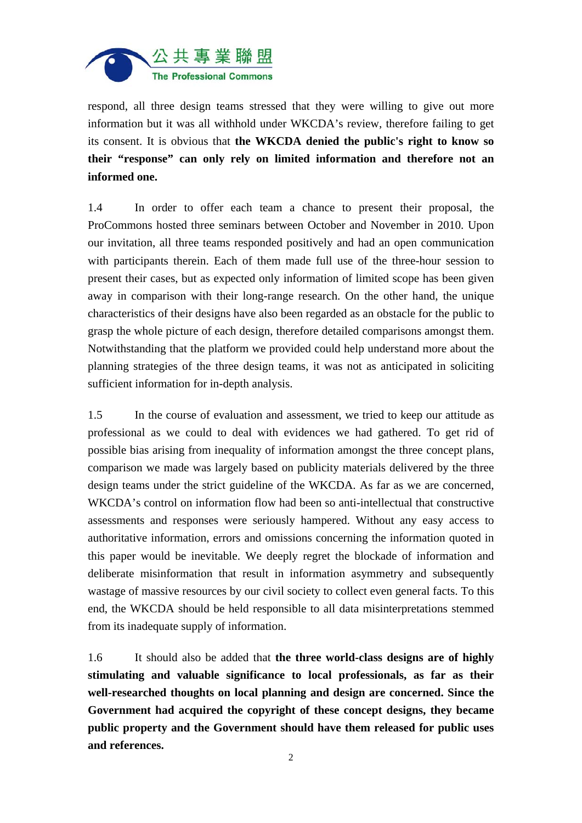

respond, all three design teams stressed that they were willing to give out more information but it was all withhold under WKCDA's review, therefore failing to get its consent. It is obvious that **the WKCDA denied the public's right to know so their "response" can only rely on limited information and therefore not an informed one.** 

1.4 In order to offer each team a chance to present their proposal, the ProCommons hosted three seminars between October and November in 2010. Upon our invitation, all three teams responded positively and had an open communication with participants therein. Each of them made full use of the three-hour session to present their cases, but as expected only information of limited scope has been given away in comparison with their long-range research. On the other hand, the unique characteristics of their designs have also been regarded as an obstacle for the public to grasp the whole picture of each design, therefore detailed comparisons amongst them. Notwithstanding that the platform we provided could help understand more about the planning strategies of the three design teams, it was not as anticipated in soliciting sufficient information for in-depth analysis.

1.5 In the course of evaluation and assessment, we tried to keep our attitude as professional as we could to deal with evidences we had gathered. To get rid of possible bias arising from inequality of information amongst the three concept plans, comparison we made was largely based on publicity materials delivered by the three design teams under the strict guideline of the WKCDA. As far as we are concerned, WKCDA's control on information flow had been so anti-intellectual that constructive assessments and responses were seriously hampered. Without any easy access to authoritative information, errors and omissions concerning the information quoted in this paper would be inevitable. We deeply regret the blockade of information and deliberate misinformation that result in information asymmetry and subsequently wastage of massive resources by our civil society to collect even general facts. To this end, the WKCDA should be held responsible to all data misinterpretations stemmed from its inadequate supply of information.

1.6 It should also be added that **the three world-class designs are of highly stimulating and valuable significance to local professionals, as far as their well-researched thoughts on local planning and design are concerned. Since the Government had acquired the copyright of these concept designs, they became public property and the Government should have them released for public uses and references.**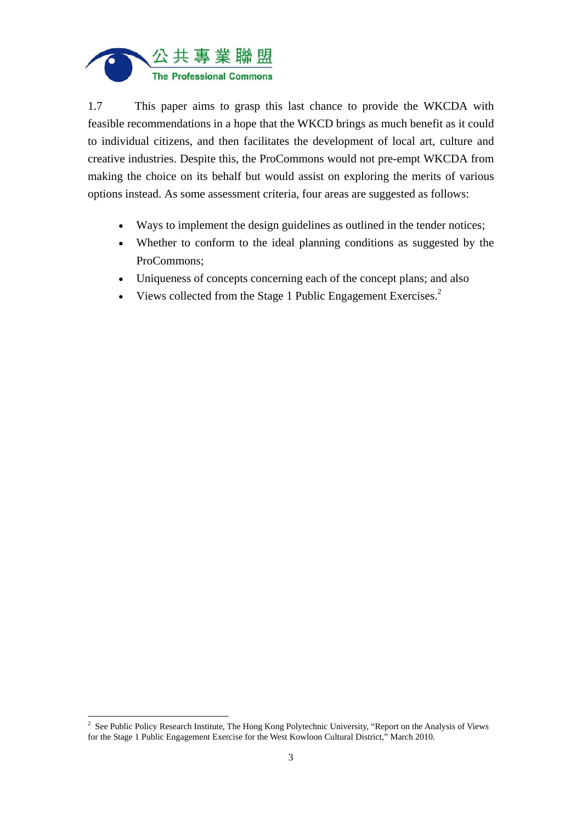

1.7 This paper aims to grasp this last chance to provide the WKCDA with feasible recommendations in a hope that the WKCD brings as much benefit as it could to individual citizens, and then facilitates the development of local art, culture and creative industries. Despite this, the ProCommons would not pre-empt WKCDA from making the choice on its behalf but would assist on exploring the merits of various options instead. As some assessment criteria, four areas are suggested as follows:

- Ways to implement the design guidelines as outlined in the tender notices;
- Whether to conform to the ideal planning conditions as suggested by the ProCommons;
- Uniqueness of concepts concerning each of the concept plans; and also
- Views collected from the Stage 1 Public Engagement Exercises. $<sup>2</sup>$ </sup>

<sup>&</sup>lt;sup>2</sup> See Public Policy Research Institute, The Hong Kong Polytechnic University, "Report on the Analysis of Views for the Stage 1 Public Engagement Exercise for the West Kowloon Cultural District," March 2010.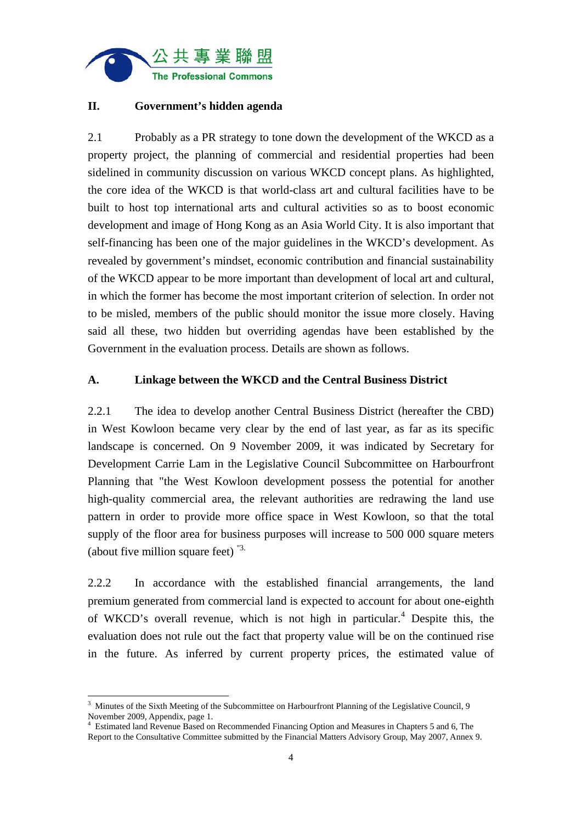

## **II. Government's hidden agenda**

2.1 Probably as a PR strategy to tone down the development of the WKCD as a property project, the planning of commercial and residential properties had been sidelined in community discussion on various WKCD concept plans. As highlighted, the core idea of the WKCD is that world-class art and cultural facilities have to be built to host top international arts and cultural activities so as to boost economic development and image of Hong Kong as an Asia World City. It is also important that self-financing has been one of the major guidelines in the WKCD's development. As revealed by government's mindset, economic contribution and financial sustainability of the WKCD appear to be more important than development of local art and cultural, in which the former has become the most important criterion of selection. In order not to be misled, members of the public should monitor the issue more closely. Having said all these, two hidden but overriding agendas have been established by the Government in the evaluation process. Details are shown as follows.

#### **A. Linkage between the WKCD and the Central Business District**

2.2.1 The idea to develop another Central Business District (hereafter the CBD) in West Kowloon became very clear by the end of last year, as far as its specific landscape is concerned. On 9 November 2009, it was indicated by Secretary for Development Carrie Lam in the Legislative Council Subcommittee on Harbourfront Planning that "the West Kowloon development possess the potential for another high-quality commercial area, the relevant authorities are redrawing the land use pattern in order to provide more office space in West Kowloon, so that the total supply of the floor area for business purposes will increase to 500 000 square meters (about five million square feet) "3.

2.2.2 In accordance with the established financial arrangements, the land premium generated from commercial land is expected to account for about one-eighth of WKCD's overall revenue, which is not high in particular.<sup>4</sup> Despite this, the evaluation does not rule out the fact that property value will be on the continued rise in the future. As inferred by current property prices, the estimated value of

<sup>&</sup>lt;sup>3</sup> Minutes of the Sixth Meeting of the Subcommittee on Harbourfront Planning of the Legislative Council, 9 November 2009, Appendix, page 1.

<sup>4</sup> Estimated land Revenue Based on Recommended Financing Option and Measures in Chapters 5 and 6, The Report to the Consultative Committee submitted by the Financial Matters Advisory Group, May 2007, Annex 9.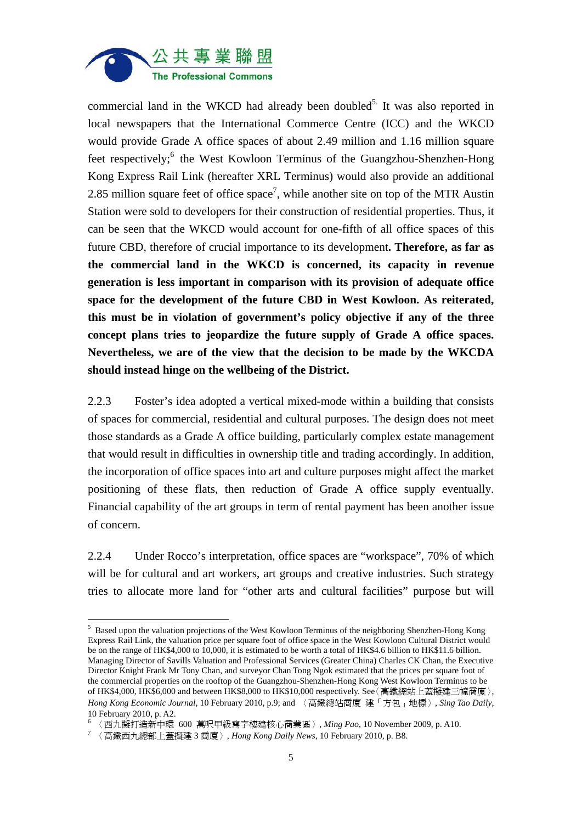

commercial land in the WKCD had already been doubled<sup>5.</sup> It was also reported in local newspapers that the International Commerce Centre (ICC) and the WKCD would provide Grade A office spaces of about 2.49 million and 1.16 million square feet respectively;<sup>6</sup> the West Kowloon Terminus of the Guangzhou-Shenzhen-Hong Kong Express Rail Link (hereafter XRL Terminus) would also provide an additional 2.85 million square feet of office space<sup>7</sup>, while another site on top of the MTR Austin Station were sold to developers for their construction of residential properties. Thus, it can be seen that the WKCD would account for one-fifth of all office spaces of this future CBD, therefore of crucial importance to its development**. Therefore, as far as the commercial land in the WKCD is concerned, its capacity in revenue generation is less important in comparison with its provision of adequate office space for the development of the future CBD in West Kowloon. As reiterated, this must be in violation of government's policy objective if any of the three concept plans tries to jeopardize the future supply of Grade A office spaces. Nevertheless, we are of the view that the decision to be made by the WKCDA should instead hinge on the wellbeing of the District.**

2.2.3 Foster's idea adopted a vertical mixed-mode within a building that consists of spaces for commercial, residential and cultural purposes. The design does not meet those standards as a Grade A office building, particularly complex estate management that would result in difficulties in ownership title and trading accordingly. In addition, the incorporation of office spaces into art and culture purposes might affect the market positioning of these flats, then reduction of Grade A office supply eventually. Financial capability of the art groups in term of rental payment has been another issue of concern.

2.2.4 Under Rocco's interpretation, office spaces are "workspace", 70% of which will be for cultural and art workers, art groups and creative industries. Such strategy tries to allocate more land for "other arts and cultural facilities" purpose but will

<sup>&</sup>lt;sup>5</sup> Based upon the valuation projections of the West Kowloon Terminus of the neighboring Shenzhen-Hong Kong Express Rail Link, the valuation price per square foot of office space in the West Kowloon Cultural District would be on the range of HK\$4,000 to 10,000, it is estimated to be worth a total of HK\$4.6 billion to HK\$11.6 billion. Managing Director of Savills Valuation and Professional Services (Greater China) Charles CK Chan, the Executive Director Knight Frank Mr Tony Chan, and surveyor Chan Tong Ngok estimated that the prices per square foot of the commercial properties on the rooftop of the Guangzhou-Shenzhen-Hong Kong West Kowloon Terminus to be of HK\$4,000, HK\$6,000 and between HK\$8,000 to HK\$10,000 respectively. See〈高鐵總站上蓋擬建三幢商廈〉, *Hong Kong Economic Journal*, 10 February 2010, p.9; and 〈高鐵總站商廈 建「方包」地標〉, *Sing Tao Daily*, 10 February 2010, p. A2.

<sup>6</sup> 〈西九擬打造新中環 600 萬呎甲級寫字樓建核心商業區〉, *Ming Pao*, 10 November 2009, p. A10. 7 〈高鐵西九總部上蓋擬建 <sup>3</sup> 商廈〉, *Hong Kong Daily News*, 10 February 2010, p. B8.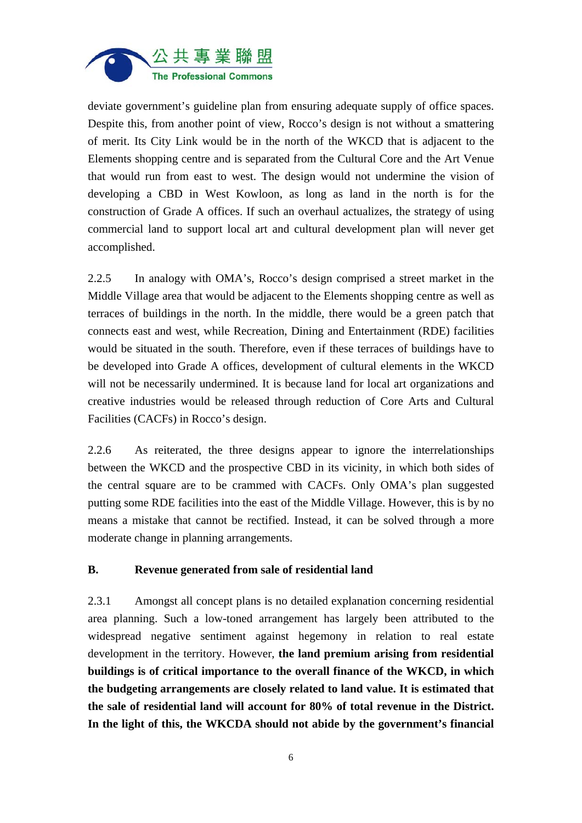

deviate government's guideline plan from ensuring adequate supply of office spaces. Despite this, from another point of view, Rocco's design is not without a smattering of merit. Its City Link would be in the north of the WKCD that is adjacent to the Elements shopping centre and is separated from the Cultural Core and the Art Venue that would run from east to west. The design would not undermine the vision of developing a CBD in West Kowloon, as long as land in the north is for the construction of Grade A offices. If such an overhaul actualizes, the strategy of using commercial land to support local art and cultural development plan will never get accomplished.

2.2.5 In analogy with OMA's, Rocco's design comprised a street market in the Middle Village area that would be adjacent to the Elements shopping centre as well as terraces of buildings in the north. In the middle, there would be a green patch that connects east and west, while Recreation, Dining and Entertainment (RDE) facilities would be situated in the south. Therefore, even if these terraces of buildings have to be developed into Grade A offices, development of cultural elements in the WKCD will not be necessarily undermined. It is because land for local art organizations and creative industries would be released through reduction of Core Arts and Cultural Facilities (CACFs) in Rocco's design.

2.2.6 As reiterated, the three designs appear to ignore the interrelationships between the WKCD and the prospective CBD in its vicinity, in which both sides of the central square are to be crammed with CACFs. Only OMA's plan suggested putting some RDE facilities into the east of the Middle Village. However, this is by no means a mistake that cannot be rectified. Instead, it can be solved through a more moderate change in planning arrangements.

## **B. Revenue generated from sale of residential land**

2.3.1 Amongst all concept plans is no detailed explanation concerning residential area planning. Such a low-toned arrangement has largely been attributed to the widespread negative sentiment against hegemony in relation to real estate development in the territory. However, **the land premium arising from residential buildings is of critical importance to the overall finance of the WKCD, in which the budgeting arrangements are closely related to land value. It is estimated that the sale of residential land will account for 80% of total revenue in the District. In the light of this, the WKCDA should not abide by the government's financial**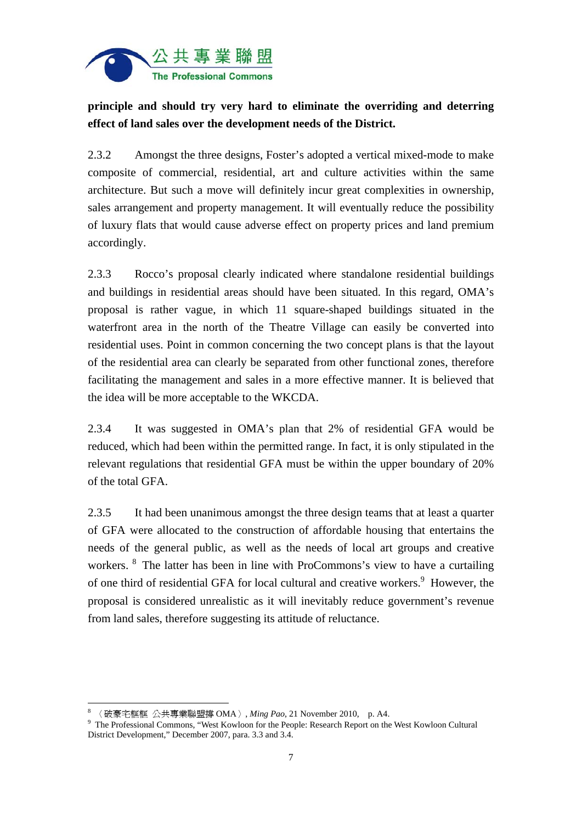

# **principle and should try very hard to eliminate the overriding and deterring effect of land sales over the development needs of the District.**

2.3.2 Amongst the three designs, Foster's adopted a vertical mixed-mode to make composite of commercial, residential, art and culture activities within the same architecture. But such a move will definitely incur great complexities in ownership, sales arrangement and property management. It will eventually reduce the possibility of luxury flats that would cause adverse effect on property prices and land premium accordingly.

2.3.3 Rocco's proposal clearly indicated where standalone residential buildings and buildings in residential areas should have been situated. In this regard, OMA's proposal is rather vague, in which 11 square-shaped buildings situated in the waterfront area in the north of the Theatre Village can easily be converted into residential uses. Point in common concerning the two concept plans is that the layout of the residential area can clearly be separated from other functional zones, therefore facilitating the management and sales in a more effective manner. It is believed that the idea will be more acceptable to the WKCDA.

2.3.4 It was suggested in OMA's plan that 2% of residential GFA would be reduced, which had been within the permitted range. In fact, it is only stipulated in the relevant regulations that residential GFA must be within the upper boundary of 20% of the total GFA.

2.3.5 It had been unanimous amongst the three design teams that at least a quarter of GFA were allocated to the construction of affordable housing that entertains the needs of the general public, as well as the needs of local art groups and creative workers. <sup>8</sup> The latter has been in line with ProCommons's view to have a curtailing of one third of residential GFA for local cultural and creative workers.<sup>9</sup> However, the proposal is considered unrealistic as it will inevitably reduce government's revenue from land sales, therefore suggesting its attitude of reluctance.

<sup>8</sup> 〈破豪宅框框 公共專業聯盟撐 OMA〉, *Ming Pao*, 21 November 2010, p. A4. 9

<sup>&</sup>lt;sup>9</sup> The Professional Commons, "West Kowloon for the People: Research Report on the West Kowloon Cultural District Development," December 2007, para. 3.3 and 3.4.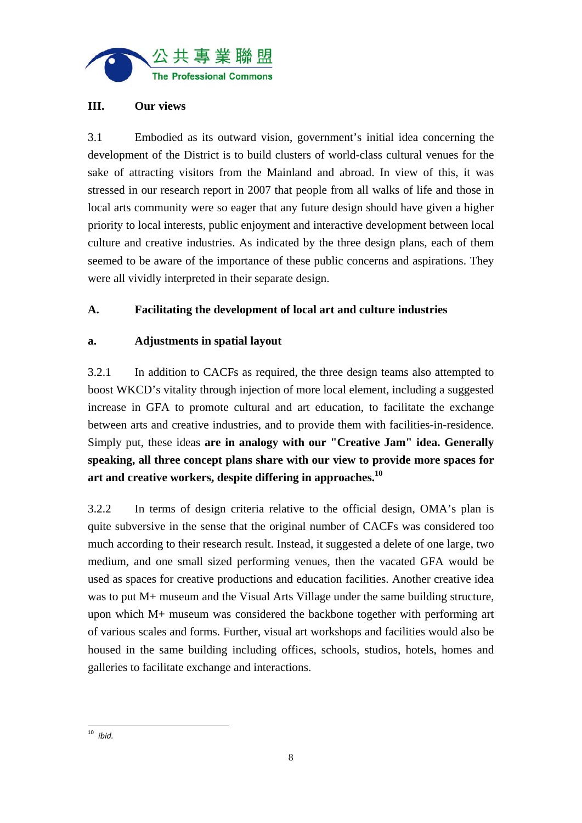

## **III. Our views**

3.1 Embodied as its outward vision, government's initial idea concerning the development of the District is to build clusters of world-class cultural venues for the sake of attracting visitors from the Mainland and abroad. In view of this, it was stressed in our research report in 2007 that people from all walks of life and those in local arts community were so eager that any future design should have given a higher priority to local interests, public enjoyment and interactive development between local culture and creative industries. As indicated by the three design plans, each of them seemed to be aware of the importance of these public concerns and aspirations. They were all vividly interpreted in their separate design.

## **A. Facilitating the development of local art and culture industries**

## **a. Adjustments in spatial layout**

3.2.1 In addition to CACFs as required, the three design teams also attempted to boost WKCD's vitality through injection of more local element, including a suggested increase in GFA to promote cultural and art education, to facilitate the exchange between arts and creative industries, and to provide them with facilities-in-residence. Simply put, these ideas **are in analogy with our "Creative Jam" idea. Generally speaking, all three concept plans share with our view to provide more spaces for art and creative workers, despite differing in approaches.10**

3.2.2 In terms of design criteria relative to the official design, OMA's plan is quite subversive in the sense that the original number of CACFs was considered too much according to their research result. Instead, it suggested a delete of one large, two medium, and one small sized performing venues, then the vacated GFA would be used as spaces for creative productions and education facilities. Another creative idea was to put M+ museum and the Visual Arts Village under the same building structure, upon which M+ museum was considered the backbone together with performing art of various scales and forms. Further, visual art workshops and facilities would also be housed in the same building including offices, schools, studios, hotels, homes and galleries to facilitate exchange and interactions.

<sup>10</sup> *ibid.*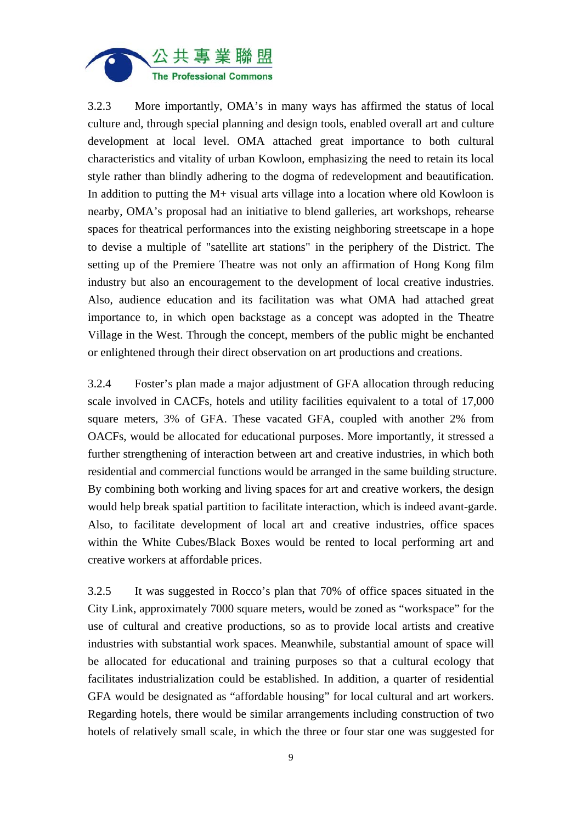

3.2.3 More importantly, OMA's in many ways has affirmed the status of local culture and, through special planning and design tools, enabled overall art and culture development at local level. OMA attached great importance to both cultural characteristics and vitality of urban Kowloon, emphasizing the need to retain its local style rather than blindly adhering to the dogma of redevelopment and beautification. In addition to putting the M+ visual arts village into a location where old Kowloon is nearby, OMA's proposal had an initiative to blend galleries, art workshops, rehearse spaces for theatrical performances into the existing neighboring streetscape in a hope to devise a multiple of "satellite art stations" in the periphery of the District. The setting up of the Premiere Theatre was not only an affirmation of Hong Kong film industry but also an encouragement to the development of local creative industries. Also, audience education and its facilitation was what OMA had attached great importance to, in which open backstage as a concept was adopted in the Theatre Village in the West. Through the concept, members of the public might be enchanted or enlightened through their direct observation on art productions and creations.

3.2.4 Foster's plan made a major adjustment of GFA allocation through reducing scale involved in CACFs, hotels and utility facilities equivalent to a total of 17,000 square meters, 3% of GFA. These vacated GFA, coupled with another 2% from OACFs, would be allocated for educational purposes. More importantly, it stressed a further strengthening of interaction between art and creative industries, in which both residential and commercial functions would be arranged in the same building structure. By combining both working and living spaces for art and creative workers, the design would help break spatial partition to facilitate interaction, which is indeed avant-garde. Also, to facilitate development of local art and creative industries, office spaces within the White Cubes/Black Boxes would be rented to local performing art and creative workers at affordable prices.

3.2.5 It was suggested in Rocco's plan that 70% of office spaces situated in the City Link, approximately 7000 square meters, would be zoned as "workspace" for the use of cultural and creative productions, so as to provide local artists and creative industries with substantial work spaces. Meanwhile, substantial amount of space will be allocated for educational and training purposes so that a cultural ecology that facilitates industrialization could be established. In addition, a quarter of residential GFA would be designated as "affordable housing" for local cultural and art workers. Regarding hotels, there would be similar arrangements including construction of two hotels of relatively small scale, in which the three or four star one was suggested for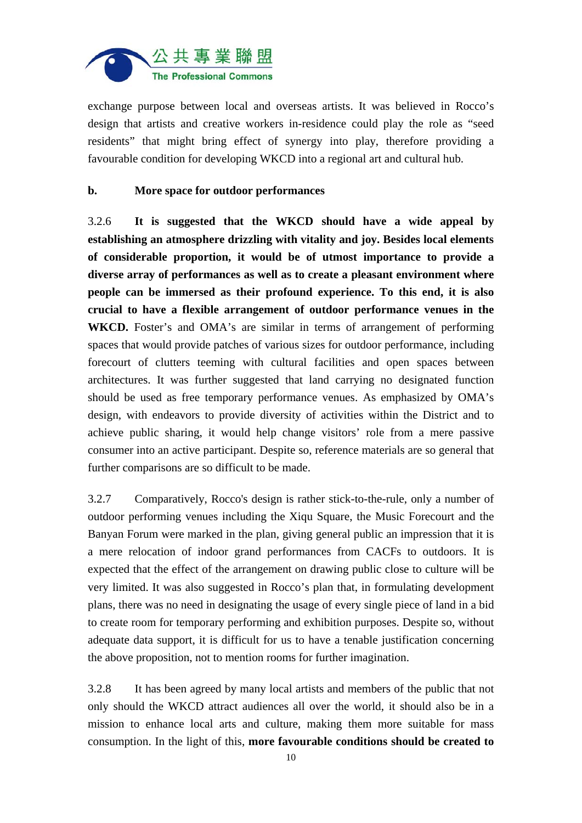

exchange purpose between local and overseas artists. It was believed in Rocco's design that artists and creative workers in-residence could play the role as "seed residents" that might bring effect of synergy into play, therefore providing a favourable condition for developing WKCD into a regional art and cultural hub.

#### **b. More space for outdoor performances**

3.2.6 **It is suggested that the WKCD should have a wide appeal by establishing an atmosphere drizzling with vitality and joy. Besides local elements of considerable proportion, it would be of utmost importance to provide a diverse array of performances as well as to create a pleasant environment where people can be immersed as their profound experience. To this end, it is also crucial to have a flexible arrangement of outdoor performance venues in the**  WKCD. Foster's and OMA's are similar in terms of arrangement of performing spaces that would provide patches of various sizes for outdoor performance, including forecourt of clutters teeming with cultural facilities and open spaces between architectures. It was further suggested that land carrying no designated function should be used as free temporary performance venues. As emphasized by OMA's design, with endeavors to provide diversity of activities within the District and to achieve public sharing, it would help change visitors' role from a mere passive consumer into an active participant. Despite so, reference materials are so general that further comparisons are so difficult to be made.

3.2.7 Comparatively, Rocco's design is rather stick-to-the-rule, only a number of outdoor performing venues including the Xiqu Square, the Music Forecourt and the Banyan Forum were marked in the plan, giving general public an impression that it is a mere relocation of indoor grand performances from CACFs to outdoors. It is expected that the effect of the arrangement on drawing public close to culture will be very limited. It was also suggested in Rocco's plan that, in formulating development plans, there was no need in designating the usage of every single piece of land in a bid to create room for temporary performing and exhibition purposes. Despite so, without adequate data support, it is difficult for us to have a tenable justification concerning the above proposition, not to mention rooms for further imagination.

3.2.8 It has been agreed by many local artists and members of the public that not only should the WKCD attract audiences all over the world, it should also be in a mission to enhance local arts and culture, making them more suitable for mass consumption. In the light of this, **more favourable conditions should be created to**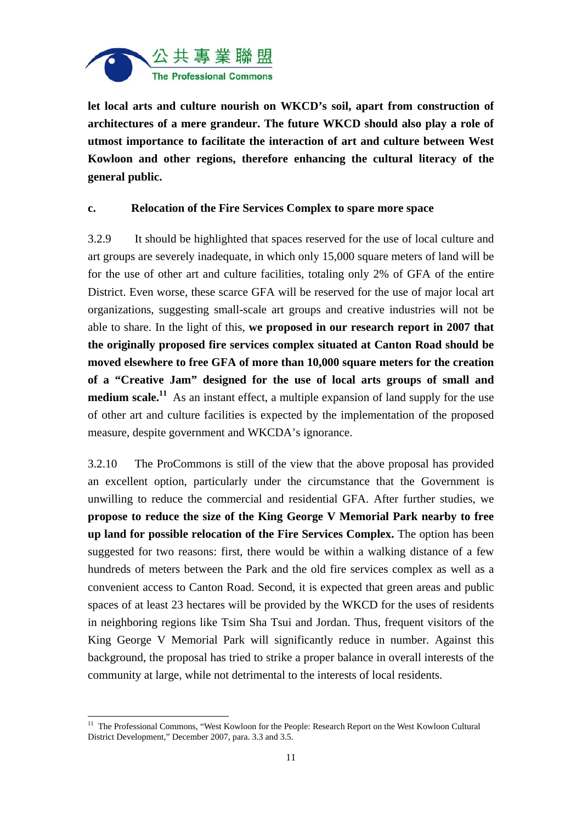

**let local arts and culture nourish on WKCD's soil, apart from construction of architectures of a mere grandeur. The future WKCD should also play a role of utmost importance to facilitate the interaction of art and culture between West Kowloon and other regions, therefore enhancing the cultural literacy of the general public.** 

#### **c. Relocation of the Fire Services Complex to spare more space**

3.2.9 It should be highlighted that spaces reserved for the use of local culture and art groups are severely inadequate, in which only 15,000 square meters of land will be for the use of other art and culture facilities, totaling only 2% of GFA of the entire District. Even worse, these scarce GFA will be reserved for the use of major local art organizations, suggesting small-scale art groups and creative industries will not be able to share. In the light of this, **we proposed in our research report in 2007 that the originally proposed fire services complex situated at Canton Road should be moved elsewhere to free GFA of more than 10,000 square meters for the creation of a "Creative Jam" designed for the use of local arts groups of small and medium scale.**<sup>11</sup> As an instant effect, a multiple expansion of land supply for the use of other art and culture facilities is expected by the implementation of the proposed measure, despite government and WKCDA's ignorance.

3.2.10 The ProCommons is still of the view that the above proposal has provided an excellent option, particularly under the circumstance that the Government is unwilling to reduce the commercial and residential GFA. After further studies, we **propose to reduce the size of the King George V Memorial Park nearby to free up land for possible relocation of the Fire Services Complex.** The option has been suggested for two reasons: first, there would be within a walking distance of a few hundreds of meters between the Park and the old fire services complex as well as a convenient access to Canton Road. Second, it is expected that green areas and public spaces of at least 23 hectares will be provided by the WKCD for the uses of residents in neighboring regions like Tsim Sha Tsui and Jordan. Thus, frequent visitors of the King George V Memorial Park will significantly reduce in number. Against this background, the proposal has tried to strike a proper balance in overall interests of the community at large, while not detrimental to the interests of local residents.

<sup>&</sup>lt;sup>11</sup> The Professional Commons, "West Kowloon for the People: Research Report on the West Kowloon Cultural District Development," December 2007, para. 3.3 and 3.5.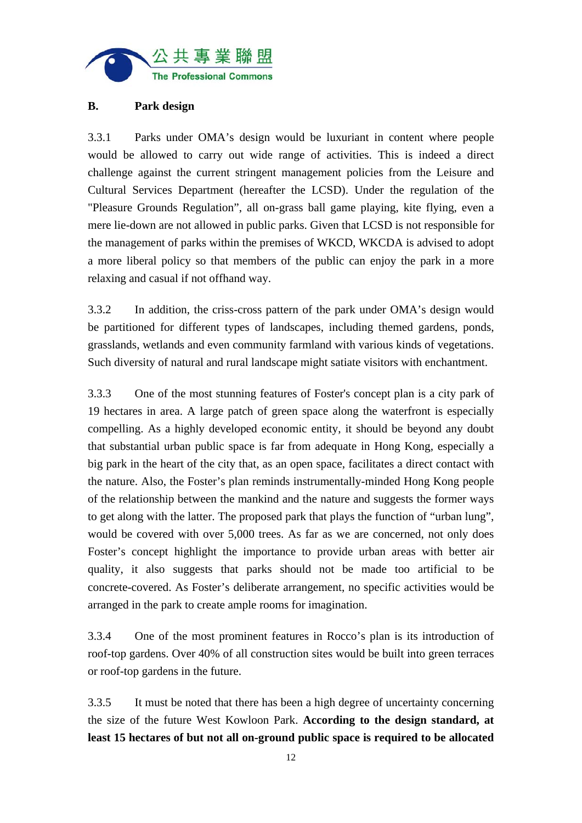

## **B. Park design**

3.3.1 Parks under OMA's design would be luxuriant in content where people would be allowed to carry out wide range of activities. This is indeed a direct challenge against the current stringent management policies from the Leisure and Cultural Services Department (hereafter the LCSD). Under the regulation of the "Pleasure Grounds Regulation", all on-grass ball game playing, kite flying, even a mere lie-down are not allowed in public parks. Given that LCSD is not responsible for the management of parks within the premises of WKCD, WKCDA is advised to adopt a more liberal policy so that members of the public can enjoy the park in a more relaxing and casual if not offhand way.

3.3.2 In addition, the criss-cross pattern of the park under OMA's design would be partitioned for different types of landscapes, including themed gardens, ponds, grasslands, wetlands and even community farmland with various kinds of vegetations. Such diversity of natural and rural landscape might satiate visitors with enchantment.

3.3.3 One of the most stunning features of Foster's concept plan is a city park of 19 hectares in area. A large patch of green space along the waterfront is especially compelling. As a highly developed economic entity, it should be beyond any doubt that substantial urban public space is far from adequate in Hong Kong, especially a big park in the heart of the city that, as an open space, facilitates a direct contact with the nature. Also, the Foster's plan reminds instrumentally-minded Hong Kong people of the relationship between the mankind and the nature and suggests the former ways to get along with the latter. The proposed park that plays the function of "urban lung", would be covered with over 5,000 trees. As far as we are concerned, not only does Foster's concept highlight the importance to provide urban areas with better air quality, it also suggests that parks should not be made too artificial to be concrete-covered. As Foster's deliberate arrangement, no specific activities would be arranged in the park to create ample rooms for imagination.

3.3.4 One of the most prominent features in Rocco's plan is its introduction of roof-top gardens. Over 40% of all construction sites would be built into green terraces or roof-top gardens in the future.

3.3.5 It must be noted that there has been a high degree of uncertainty concerning the size of the future West Kowloon Park. **According to the design standard, at least 15 hectares of but not all on-ground public space is required to be allocated**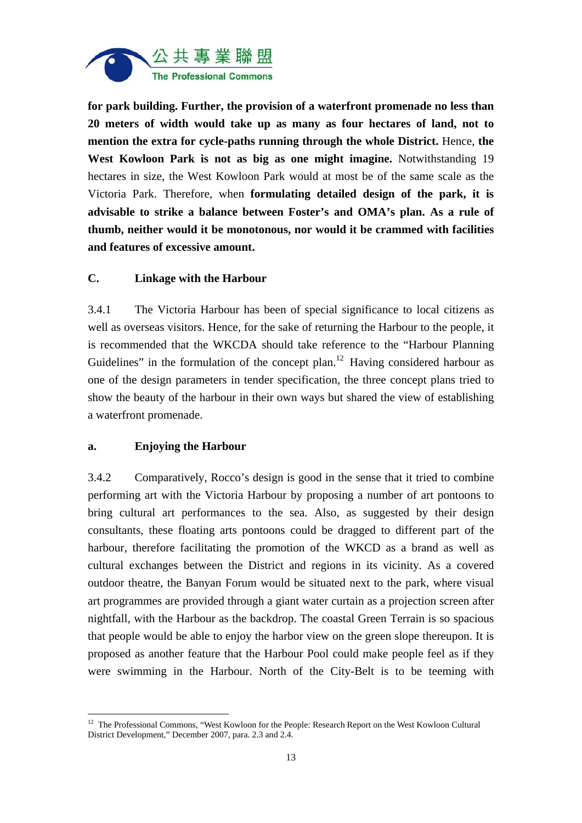

**for park building. Further, the provision of a waterfront promenade no less than 20 meters of width would take up as many as four hectares of land, not to mention the extra for cycle-paths running through the whole District.** Hence, **the West Kowloon Park is not as big as one might imagine.** Notwithstanding 19 hectares in size, the West Kowloon Park would at most be of the same scale as the Victoria Park. Therefore, when **formulating detailed design of the park, it is advisable to strike a balance between Foster's and OMA's plan. As a rule of thumb, neither would it be monotonous, nor would it be crammed with facilities and features of excessive amount.**

#### **C. Linkage with the Harbour**

3.4.1 The Victoria Harbour has been of special significance to local citizens as well as overseas visitors. Hence, for the sake of returning the Harbour to the people, it is recommended that the WKCDA should take reference to the "Harbour Planning Guidelines" in the formulation of the concept plan.<sup>12</sup> Having considered harbour as one of the design parameters in tender specification, the three concept plans tried to show the beauty of the harbour in their own ways but shared the view of establishing a waterfront promenade.

#### **a. Enjoying the Harbour**

 $\overline{a}$ 

3.4.2 Comparatively, Rocco's design is good in the sense that it tried to combine performing art with the Victoria Harbour by proposing a number of art pontoons to bring cultural art performances to the sea. Also, as suggested by their design consultants, these floating arts pontoons could be dragged to different part of the harbour, therefore facilitating the promotion of the WKCD as a brand as well as cultural exchanges between the District and regions in its vicinity. As a covered outdoor theatre, the Banyan Forum would be situated next to the park, where visual art programmes are provided through a giant water curtain as a projection screen after nightfall, with the Harbour as the backdrop. The coastal Green Terrain is so spacious that people would be able to enjoy the harbor view on the green slope thereupon. It is proposed as another feature that the Harbour Pool could make people feel as if they were swimming in the Harbour. North of the City-Belt is to be teeming with

<sup>&</sup>lt;sup>12</sup> The Professional Commons, "West Kowloon for the People: Research Report on the West Kowloon Cultural District Development," December 2007, para. 2.3 and 2.4.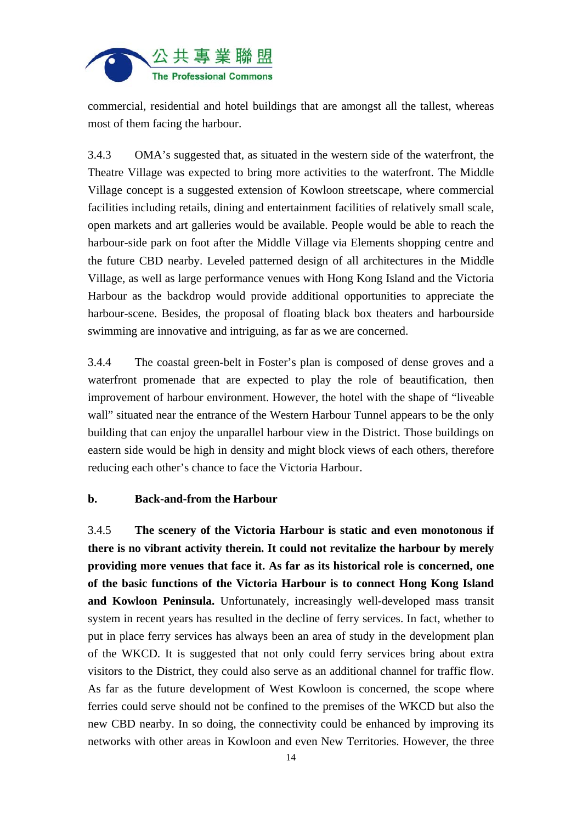

commercial, residential and hotel buildings that are amongst all the tallest, whereas most of them facing the harbour.

3.4.3 OMA's suggested that, as situated in the western side of the waterfront, the Theatre Village was expected to bring more activities to the waterfront. The Middle Village concept is a suggested extension of Kowloon streetscape, where commercial facilities including retails, dining and entertainment facilities of relatively small scale, open markets and art galleries would be available. People would be able to reach the harbour-side park on foot after the Middle Village via Elements shopping centre and the future CBD nearby. Leveled patterned design of all architectures in the Middle Village, as well as large performance venues with Hong Kong Island and the Victoria Harbour as the backdrop would provide additional opportunities to appreciate the harbour-scene. Besides, the proposal of floating black box theaters and harbourside swimming are innovative and intriguing, as far as we are concerned.

3.4.4 The coastal green-belt in Foster's plan is composed of dense groves and a waterfront promenade that are expected to play the role of beautification, then improvement of harbour environment. However, the hotel with the shape of "liveable wall" situated near the entrance of the Western Harbour Tunnel appears to be the only building that can enjoy the unparallel harbour view in the District. Those buildings on eastern side would be high in density and might block views of each others, therefore reducing each other's chance to face the Victoria Harbour.

#### **b. Back-and-from the Harbour**

3.4.5 **The scenery of the Victoria Harbour is static and even monotonous if there is no vibrant activity therein. It could not revitalize the harbour by merely providing more venues that face it. As far as its historical role is concerned, one of the basic functions of the Victoria Harbour is to connect Hong Kong Island and Kowloon Peninsula.** Unfortunately, increasingly well-developed mass transit system in recent years has resulted in the decline of ferry services. In fact, whether to put in place ferry services has always been an area of study in the development plan of the WKCD. It is suggested that not only could ferry services bring about extra visitors to the District, they could also serve as an additional channel for traffic flow. As far as the future development of West Kowloon is concerned, the scope where ferries could serve should not be confined to the premises of the WKCD but also the new CBD nearby. In so doing, the connectivity could be enhanced by improving its networks with other areas in Kowloon and even New Territories. However, the three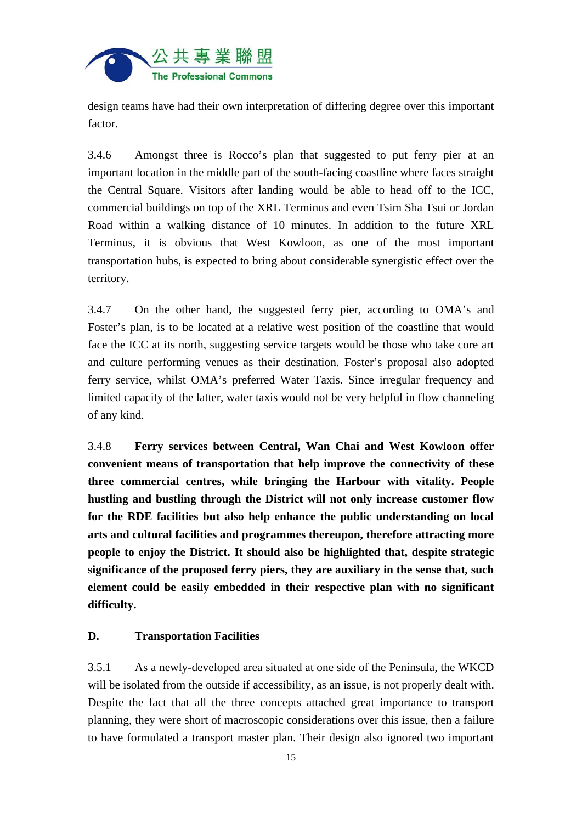

design teams have had their own interpretation of differing degree over this important factor.

3.4.6 Amongst three is Rocco's plan that suggested to put ferry pier at an important location in the middle part of the south-facing coastline where faces straight the Central Square. Visitors after landing would be able to head off to the ICC, commercial buildings on top of the XRL Terminus and even Tsim Sha Tsui or Jordan Road within a walking distance of 10 minutes. In addition to the future XRL Terminus, it is obvious that West Kowloon, as one of the most important transportation hubs, is expected to bring about considerable synergistic effect over the territory.

3.4.7 On the other hand, the suggested ferry pier, according to OMA's and Foster's plan, is to be located at a relative west position of the coastline that would face the ICC at its north, suggesting service targets would be those who take core art and culture performing venues as their destination. Foster's proposal also adopted ferry service, whilst OMA's preferred Water Taxis. Since irregular frequency and limited capacity of the latter, water taxis would not be very helpful in flow channeling of any kind.

3.4.8 **Ferry services between Central, Wan Chai and West Kowloon offer convenient means of transportation that help improve the connectivity of these three commercial centres, while bringing the Harbour with vitality. People hustling and bustling through the District will not only increase customer flow for the RDE facilities but also help enhance the public understanding on local arts and cultural facilities and programmes thereupon, therefore attracting more people to enjoy the District. It should also be highlighted that, despite strategic significance of the proposed ferry piers, they are auxiliary in the sense that, such element could be easily embedded in their respective plan with no significant difficulty.** 

## **D. Transportation Facilities**

3.5.1 As a newly-developed area situated at one side of the Peninsula, the WKCD will be isolated from the outside if accessibility, as an issue, is not properly dealt with. Despite the fact that all the three concepts attached great importance to transport planning, they were short of macroscopic considerations over this issue, then a failure to have formulated a transport master plan. Their design also ignored two important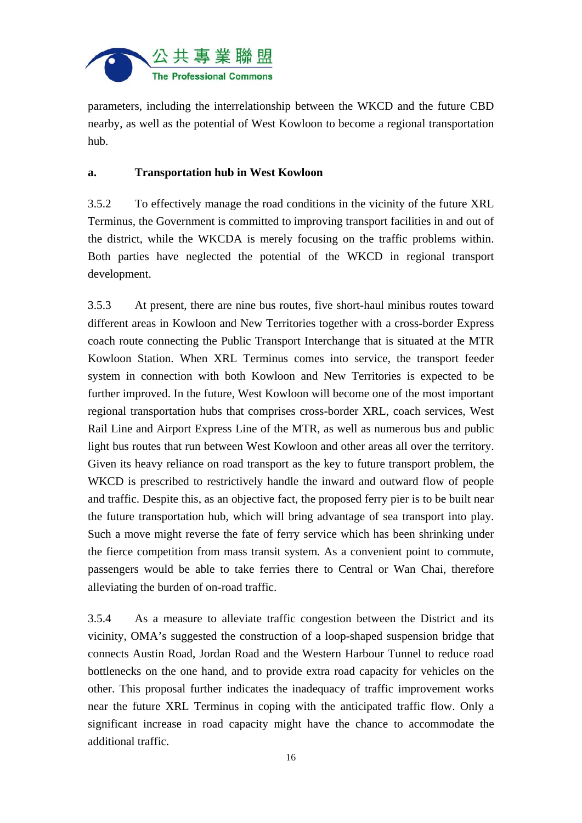

parameters, including the interrelationship between the WKCD and the future CBD nearby, as well as the potential of West Kowloon to become a regional transportation hub.

## **a. Transportation hub in West Kowloon**

3.5.2 To effectively manage the road conditions in the vicinity of the future XRL Terminus, the Government is committed to improving transport facilities in and out of the district, while the WKCDA is merely focusing on the traffic problems within. Both parties have neglected the potential of the WKCD in regional transport development.

3.5.3 At present, there are nine bus routes, five short-haul minibus routes toward different areas in Kowloon and New Territories together with a cross-border Express coach route connecting the Public Transport Interchange that is situated at the MTR Kowloon Station. When XRL Terminus comes into service, the transport feeder system in connection with both Kowloon and New Territories is expected to be further improved. In the future, West Kowloon will become one of the most important regional transportation hubs that comprises cross-border XRL, coach services, West Rail Line and Airport Express Line of the MTR, as well as numerous bus and public light bus routes that run between West Kowloon and other areas all over the territory. Given its heavy reliance on road transport as the key to future transport problem, the WKCD is prescribed to restrictively handle the inward and outward flow of people and traffic. Despite this, as an objective fact, the proposed ferry pier is to be built near the future transportation hub, which will bring advantage of sea transport into play. Such a move might reverse the fate of ferry service which has been shrinking under the fierce competition from mass transit system. As a convenient point to commute, passengers would be able to take ferries there to Central or Wan Chai, therefore alleviating the burden of on-road traffic.

3.5.4 As a measure to alleviate traffic congestion between the District and its vicinity, OMA's suggested the construction of a loop-shaped suspension bridge that connects Austin Road, Jordan Road and the Western Harbour Tunnel to reduce road bottlenecks on the one hand, and to provide extra road capacity for vehicles on the other. This proposal further indicates the inadequacy of traffic improvement works near the future XRL Terminus in coping with the anticipated traffic flow. Only a significant increase in road capacity might have the chance to accommodate the additional traffic.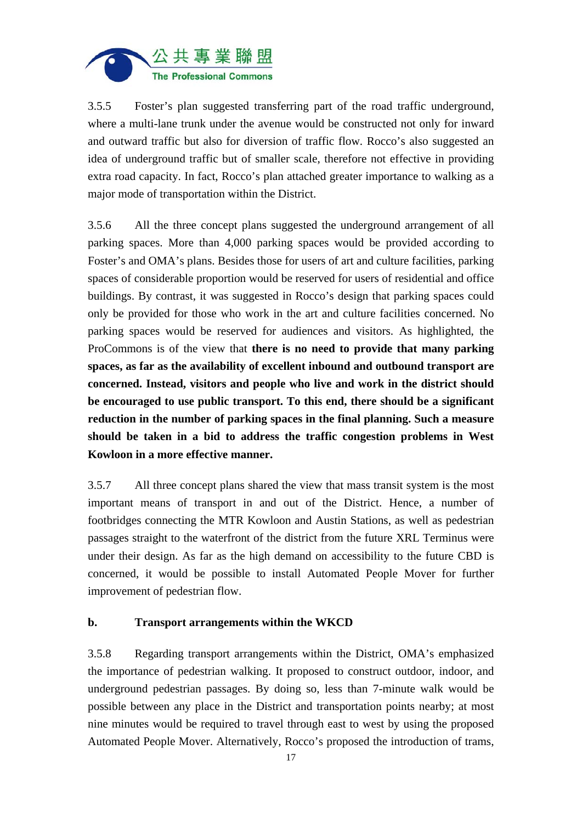

3.5.5 Foster's plan suggested transferring part of the road traffic underground, where a multi-lane trunk under the avenue would be constructed not only for inward and outward traffic but also for diversion of traffic flow. Rocco's also suggested an idea of underground traffic but of smaller scale, therefore not effective in providing extra road capacity. In fact, Rocco's plan attached greater importance to walking as a major mode of transportation within the District.

3.5.6 All the three concept plans suggested the underground arrangement of all parking spaces. More than 4,000 parking spaces would be provided according to Foster's and OMA's plans. Besides those for users of art and culture facilities, parking spaces of considerable proportion would be reserved for users of residential and office buildings. By contrast, it was suggested in Rocco's design that parking spaces could only be provided for those who work in the art and culture facilities concerned. No parking spaces would be reserved for audiences and visitors. As highlighted, the ProCommons is of the view that **there is no need to provide that many parking spaces, as far as the availability of excellent inbound and outbound transport are concerned. Instead, visitors and people who live and work in the district should be encouraged to use public transport. To this end, there should be a significant reduction in the number of parking spaces in the final planning. Such a measure should be taken in a bid to address the traffic congestion problems in West Kowloon in a more effective manner.** 

3.5.7 All three concept plans shared the view that mass transit system is the most important means of transport in and out of the District. Hence, a number of footbridges connecting the MTR Kowloon and Austin Stations, as well as pedestrian passages straight to the waterfront of the district from the future XRL Terminus were under their design. As far as the high demand on accessibility to the future CBD is concerned, it would be possible to install Automated People Mover for further improvement of pedestrian flow.

## **b. Transport arrangements within the WKCD**

3.5.8 Regarding transport arrangements within the District, OMA's emphasized the importance of pedestrian walking. It proposed to construct outdoor, indoor, and underground pedestrian passages. By doing so, less than 7-minute walk would be possible between any place in the District and transportation points nearby; at most nine minutes would be required to travel through east to west by using the proposed Automated People Mover. Alternatively, Rocco's proposed the introduction of trams,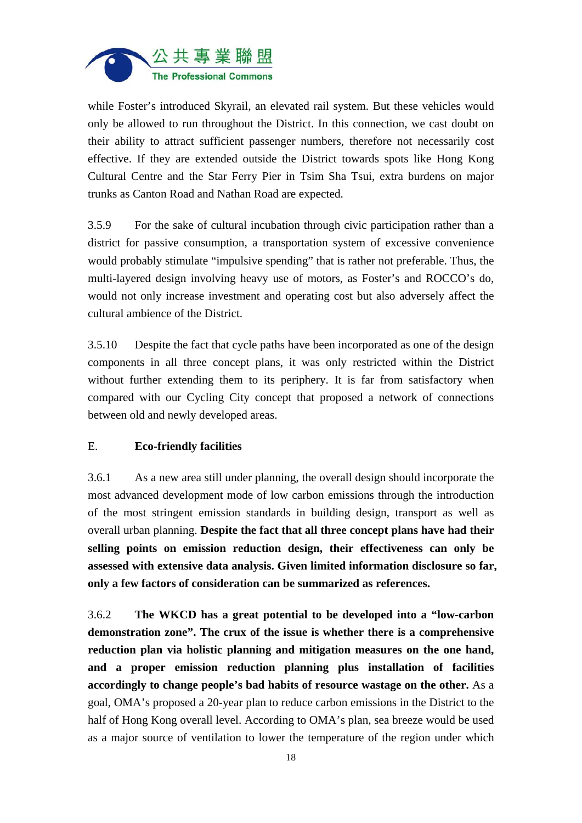

while Foster's introduced Skyrail, an elevated rail system. But these vehicles would only be allowed to run throughout the District. In this connection, we cast doubt on their ability to attract sufficient passenger numbers, therefore not necessarily cost effective. If they are extended outside the District towards spots like Hong Kong Cultural Centre and the Star Ferry Pier in Tsim Sha Tsui, extra burdens on major trunks as Canton Road and Nathan Road are expected.

3.5.9 For the sake of cultural incubation through civic participation rather than a district for passive consumption, a transportation system of excessive convenience would probably stimulate "impulsive spending" that is rather not preferable. Thus, the multi-layered design involving heavy use of motors, as Foster's and ROCCO's do, would not only increase investment and operating cost but also adversely affect the cultural ambience of the District.

3.5.10 Despite the fact that cycle paths have been incorporated as one of the design components in all three concept plans, it was only restricted within the District without further extending them to its periphery. It is far from satisfactory when compared with our Cycling City concept that proposed a network of connections between old and newly developed areas.

## E. **Eco-friendly facilities**

3.6.1 As a new area still under planning, the overall design should incorporate the most advanced development mode of low carbon emissions through the introduction of the most stringent emission standards in building design, transport as well as overall urban planning. **Despite the fact that all three concept plans have had their selling points on emission reduction design, their effectiveness can only be assessed with extensive data analysis. Given limited information disclosure so far, only a few factors of consideration can be summarized as references.** 

3.6.2 **The WKCD has a great potential to be developed into a "low-carbon demonstration zone". The crux of the issue is whether there is a comprehensive reduction plan via holistic planning and mitigation measures on the one hand, and a proper emission reduction planning plus installation of facilities accordingly to change people's bad habits of resource wastage on the other.** As a goal, OMA's proposed a 20-year plan to reduce carbon emissions in the District to the half of Hong Kong overall level. According to OMA's plan, sea breeze would be used as a major source of ventilation to lower the temperature of the region under which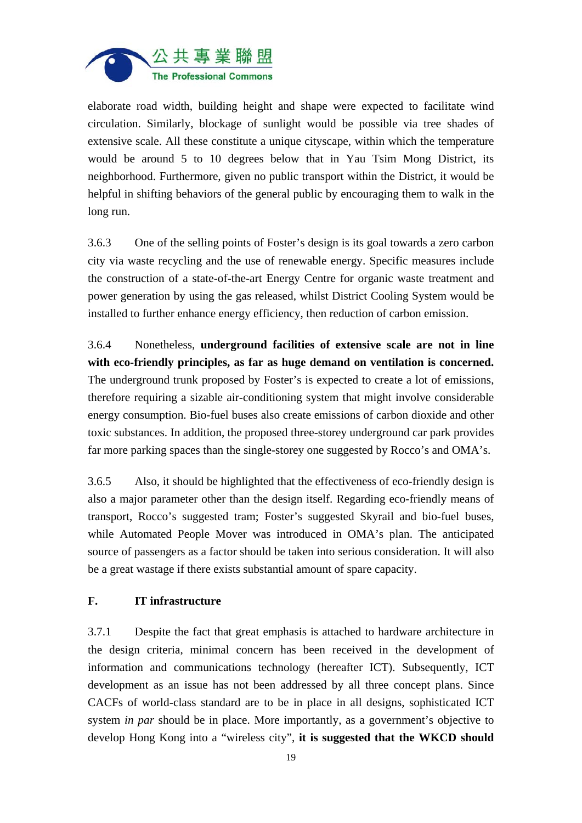

elaborate road width, building height and shape were expected to facilitate wind circulation. Similarly, blockage of sunlight would be possible via tree shades of extensive scale. All these constitute a unique cityscape, within which the temperature would be around 5 to 10 degrees below that in Yau Tsim Mong District, its neighborhood. Furthermore, given no public transport within the District, it would be helpful in shifting behaviors of the general public by encouraging them to walk in the long run.

3.6.3 One of the selling points of Foster's design is its goal towards a zero carbon city via waste recycling and the use of renewable energy. Specific measures include the construction of a state-of-the-art Energy Centre for organic waste treatment and power generation by using the gas released, whilst District Cooling System would be installed to further enhance energy efficiency, then reduction of carbon emission.

3.6.4 Nonetheless, **underground facilities of extensive scale are not in line with eco-friendly principles, as far as huge demand on ventilation is concerned.**  The underground trunk proposed by Foster's is expected to create a lot of emissions, therefore requiring a sizable air-conditioning system that might involve considerable energy consumption. Bio-fuel buses also create emissions of carbon dioxide and other toxic substances. In addition, the proposed three-storey underground car park provides far more parking spaces than the single-storey one suggested by Rocco's and OMA's.

3.6.5 Also, it should be highlighted that the effectiveness of eco-friendly design is also a major parameter other than the design itself. Regarding eco-friendly means of transport, Rocco's suggested tram; Foster's suggested Skyrail and bio-fuel buses, while Automated People Mover was introduced in OMA's plan. The anticipated source of passengers as a factor should be taken into serious consideration. It will also be a great wastage if there exists substantial amount of spare capacity.

#### **F. IT infrastructure**

3.7.1 Despite the fact that great emphasis is attached to hardware architecture in the design criteria, minimal concern has been received in the development of information and communications technology (hereafter ICT). Subsequently, ICT development as an issue has not been addressed by all three concept plans. Since CACFs of world-class standard are to be in place in all designs, sophisticated ICT system *in par* should be in place. More importantly, as a government's objective to develop Hong Kong into a "wireless city", **it is suggested that the WKCD should**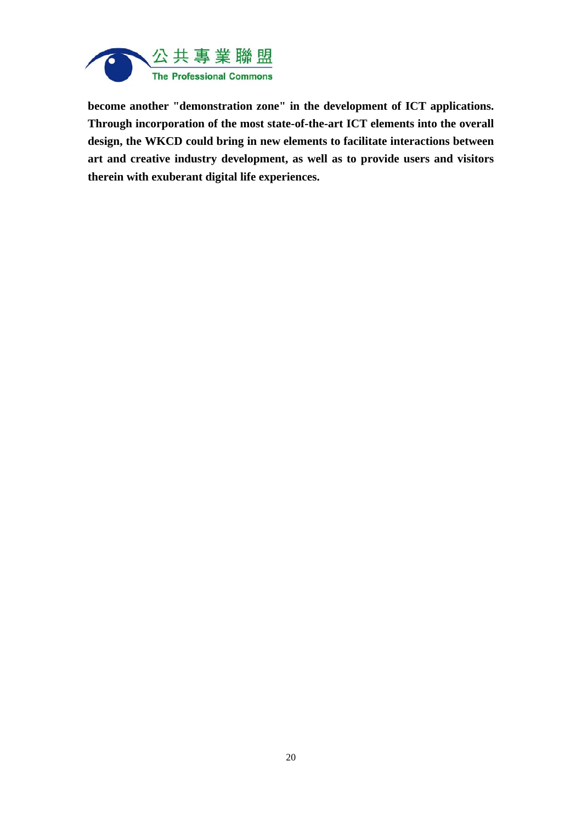

**become another "demonstration zone" in the development of ICT applications. Through incorporation of the most state-of-the-art ICT elements into the overall design, the WKCD could bring in new elements to facilitate interactions between art and creative industry development, as well as to provide users and visitors therein with exuberant digital life experiences.**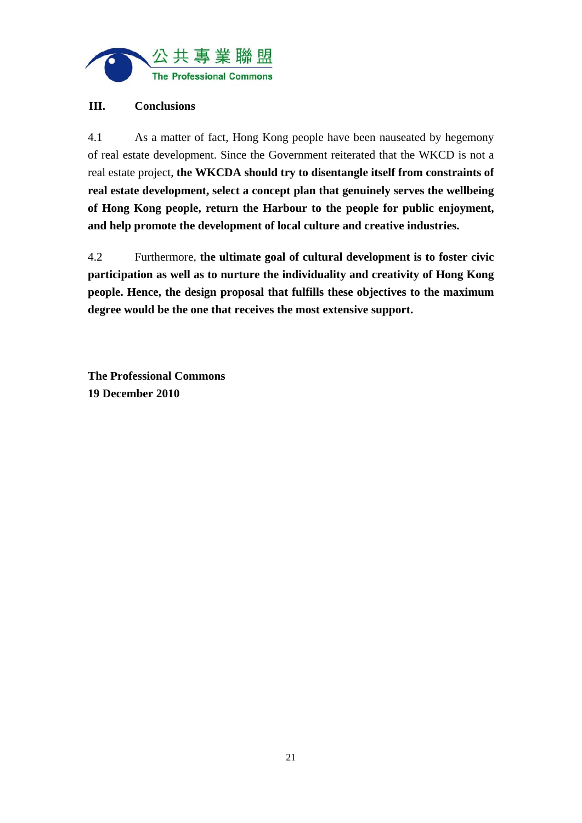

## **III. Conclusions**

4.1 As a matter of fact, Hong Kong people have been nauseated by hegemony of real estate development. Since the Government reiterated that the WKCD is not a real estate project, **the WKCDA should try to disentangle itself from constraints of real estate development, select a concept plan that genuinely serves the wellbeing of Hong Kong people, return the Harbour to the people for public enjoyment, and help promote the development of local culture and creative industries.**

4.2 Furthermore, **the ultimate goal of cultural development is to foster civic participation as well as to nurture the individuality and creativity of Hong Kong people. Hence, the design proposal that fulfills these objectives to the maximum degree would be the one that receives the most extensive support.**

**The Professional Commons 19 December 2010**